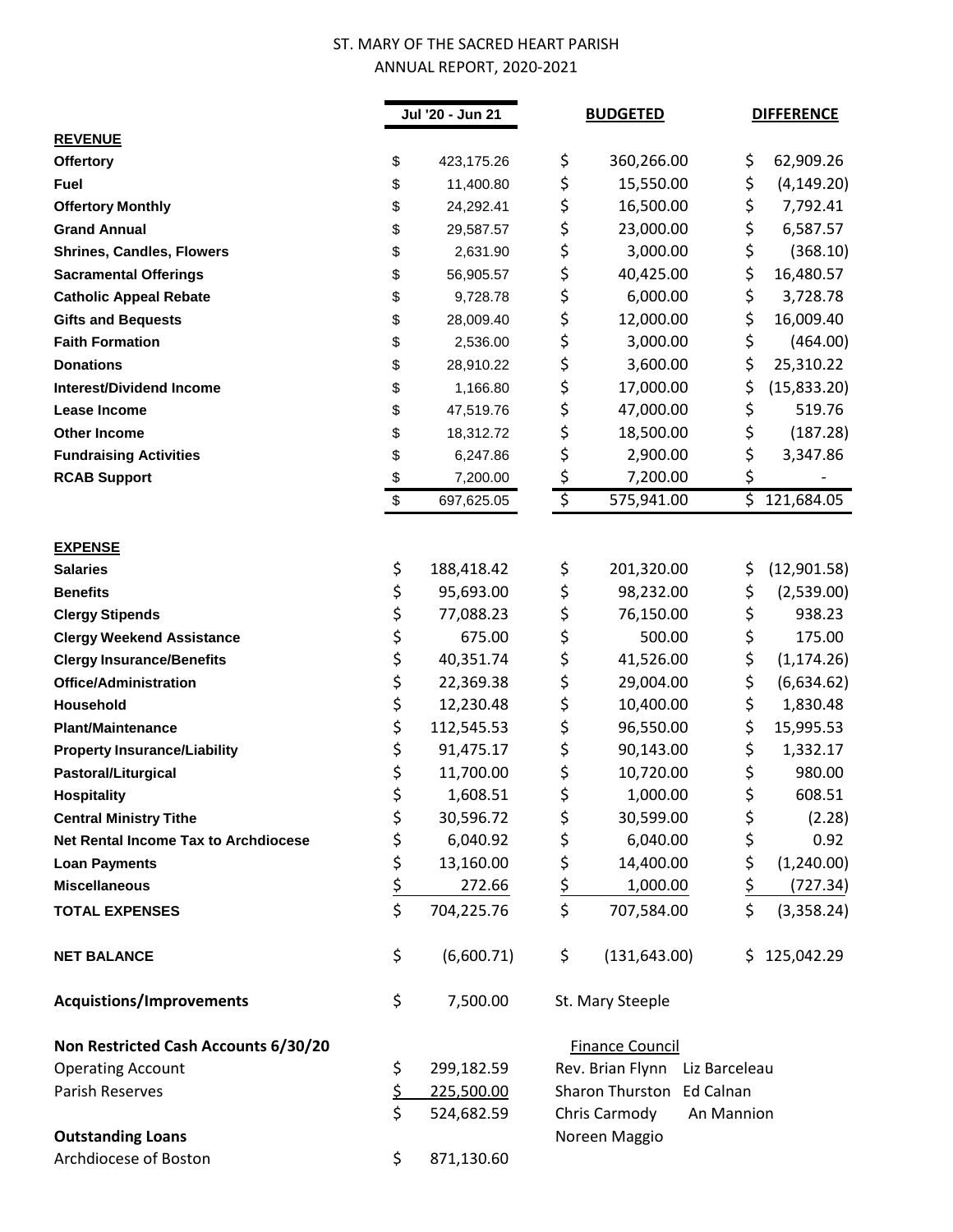## ST. MARY OF THE SACRED HEART PARISH ANNUAL REPORT, 2020-2021

|                                      | Jul '20 - Jun 21 |            | <b>BUDGETED</b>        |                                | <b>DIFFERENCE</b> |             |
|--------------------------------------|------------------|------------|------------------------|--------------------------------|-------------------|-------------|
| <b>REVENUE</b>                       |                  |            |                        |                                |                   |             |
| Offertory                            | \$               | 423,175.26 | \$                     | 360,266.00                     | \$                | 62,909.26   |
| Fuel                                 | \$               | 11,400.80  | \$                     | 15,550.00                      | \$                | (4, 149.20) |
| <b>Offertory Monthly</b>             | \$               | 24,292.41  | \$                     | 16,500.00                      | \$                | 7,792.41    |
| <b>Grand Annual</b>                  | \$               | 29,587.57  | \$                     | 23,000.00                      | \$                | 6,587.57    |
| <b>Shrines, Candles, Flowers</b>     | \$               | 2,631.90   | \$                     | 3,000.00                       | \$                | (368.10)    |
| <b>Sacramental Offerings</b>         | \$               | 56,905.57  | \$                     | 40,425.00                      | \$                | 16,480.57   |
| <b>Catholic Appeal Rebate</b>        | \$               | 9,728.78   | \$                     | 6,000.00                       | \$                | 3,728.78    |
| <b>Gifts and Bequests</b>            | \$               | 28,009.40  | \$                     | 12,000.00                      | \$                | 16,009.40   |
| <b>Faith Formation</b>               | \$               | 2,536.00   | \$                     | 3,000.00                       | \$                | (464.00)    |
| <b>Donations</b>                     | \$               | 28,910.22  | \$                     | 3,600.00                       | \$                | 25,310.22   |
| <b>Interest/Dividend Income</b>      | \$               | 1,166.80   | \$                     | 17,000.00                      | \$                | (15,833.20) |
| Lease Income                         | \$               | 47,519.76  | \$                     | 47,000.00                      | \$                | 519.76      |
| <b>Other Income</b>                  | \$               | 18,312.72  | \$                     | 18,500.00                      | \$                | (187.28)    |
| <b>Fundraising Activities</b>        | \$               | 6,247.86   | \$                     | 2,900.00                       | \$                | 3,347.86    |
| <b>RCAB Support</b>                  | \$               | 7,200.00   | \$                     | 7,200.00                       | \$                |             |
|                                      | \$               | 697,625.05 | $\overline{\varsigma}$ | 575,941.00                     | \$                | 121,684.05  |
|                                      |                  |            |                        |                                |                   |             |
| <b>EXPENSE</b>                       |                  |            |                        |                                |                   |             |
| <b>Salaries</b>                      | \$               | 188,418.42 | \$                     | 201,320.00                     | \$                | (12,901.58) |
| <b>Benefits</b>                      | \$               | 95,693.00  | \$                     | 98,232.00                      | \$                | (2,539.00)  |
| <b>Clergy Stipends</b>               | \$               | 77,088.23  | \$                     | 76,150.00                      | \$                | 938.23      |
| <b>Clergy Weekend Assistance</b>     | \$               | 675.00     | \$                     | 500.00                         | \$                | 175.00      |
| <b>Clergy Insurance/Benefits</b>     | \$               | 40,351.74  | \$                     | 41,526.00                      | \$                | (1, 174.26) |
| <b>Office/Administration</b>         | \$               | 22,369.38  | \$                     | 29,004.00                      | \$                | (6,634.62)  |
| Household                            | \$               | 12,230.48  | \$                     | 10,400.00                      | \$                | 1,830.48    |
| <b>Plant/Maintenance</b>             | \$               | 112,545.53 | \$                     | 96,550.00                      | \$                | 15,995.53   |
| <b>Property Insurance/Liability</b>  | \$               | 91,475.17  | \$                     | 90,143.00                      | \$                | 1,332.17    |
| Pastoral/Liturgical                  | \$               | 11,700.00  | \$                     | 10,720.00                      | \$                | 980.00      |
| <b>Hospitality</b>                   | \$               | 1,608.51   | \$                     | 1,000.00                       | \$                | 608.51      |
| <b>Central Ministry Tithe</b>        | \$               | 30,596.72  | \$                     | 30,599.00                      | \$                | (2.28)      |
| Net Rental Income Tax to Archdiocese | \$               | 6,040.92   | \$                     | 6,040.00                       | \$                | 0.92        |
| <b>Loan Payments</b>                 | \$               | 13,160.00  | \$                     | 14,400.00                      | \$                | (1,240.00)  |
| <b>Miscellaneous</b>                 | $rac{5}{5}$      | 272.66     | \$                     | 1,000.00                       | \$                | (727.34)    |
| <b>TOTAL EXPENSES</b>                |                  | 704,225.76 | \$                     | 707,584.00                     | \$                | (3,358.24)  |
| <b>NET BALANCE</b>                   | \$               | (6,600.71) | \$                     | (131, 643.00)                  | \$.               | 125,042.29  |
| <b>Acquistions/Improvements</b>      | \$               | 7,500.00   |                        | St. Mary Steeple               |                   |             |
| Non Restricted Cash Accounts 6/30/20 |                  |            |                        | <b>Finance Council</b>         |                   |             |
| <b>Operating Account</b>             | \$               | 299,182.59 |                        | Rev. Brian Flynn Liz Barceleau |                   |             |
| Parish Reserves                      | \$               | 225,500.00 |                        | Sharon Thurston Ed Calnan      |                   |             |
|                                      | \$               | 524,682.59 |                        | Chris Carmody                  | An Mannion        |             |
| <b>Outstanding Loans</b>             |                  |            |                        | Noreen Maggio                  |                   |             |
| Archdiocese of Boston                | \$               | 871,130.60 |                        |                                |                   |             |
|                                      |                  |            |                        |                                |                   |             |